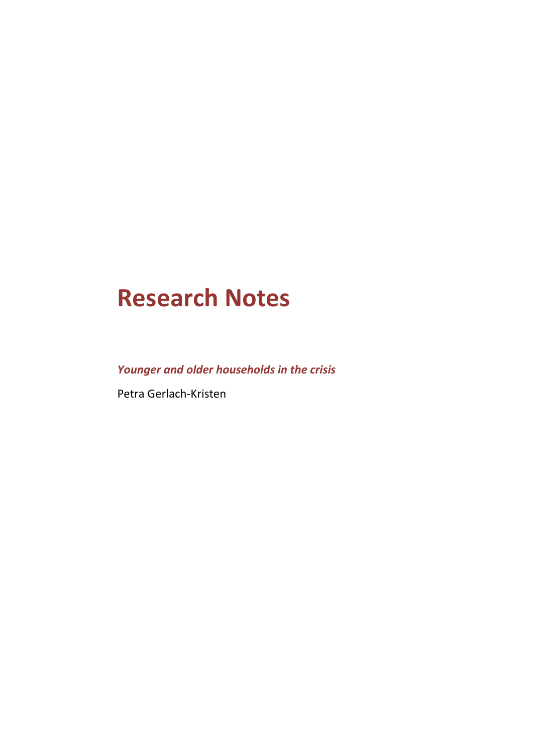# **Research Notes**

*Younger and older households in the crisis*

Petra Gerlach-Kristen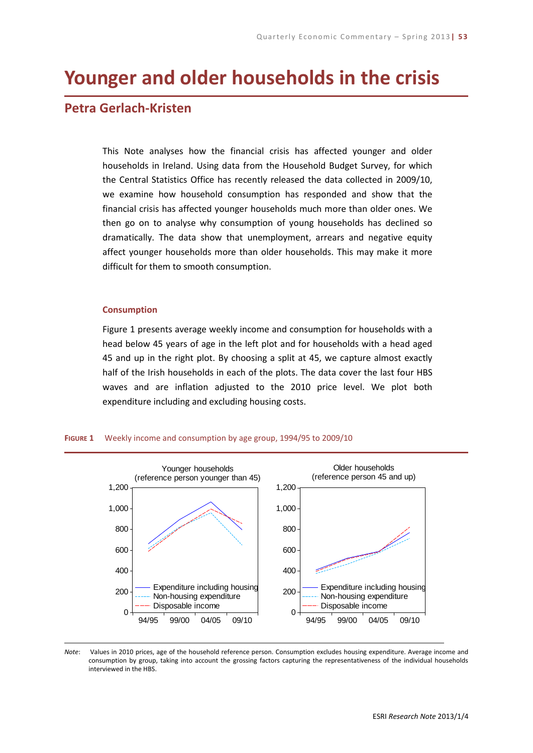## **Younger and older households in the crisis**

### **Petra Gerlach-Kristen**

This Note analyses how the financial crisis has affected younger and older households in Ireland. Using data from the Household Budget Survey, for which the Central Statistics Office has recently released the data collected in 2009/10, we examine how household consumption has responded and show that the financial crisis has affected younger households much more than older ones. We then go on to analyse why consumption of young households has declined so dramatically. The data show that unemployment, arrears and negative equity affect younger households more than older households. This may make it more difficult for them to smooth consumption.

#### **Consumption**

Figure 1 presents average weekly income and consumption for households with a head below 45 years of age in the left plot and for households with a head aged 45 and up in the right plot. By choosing a split at 45, we capture almost exactly half of the Irish households in each of the plots. The data cover the last four HBS waves and are inflation adjusted to the 2010 price level. We plot both expenditure including and excluding housing costs.





*Note*: Values in 2010 prices, age of the household reference person. Consumption excludes housing expenditure. Average income and consumption by group, taking into account the grossing factors capturing the representativeness of the individual households interviewed in the HBS.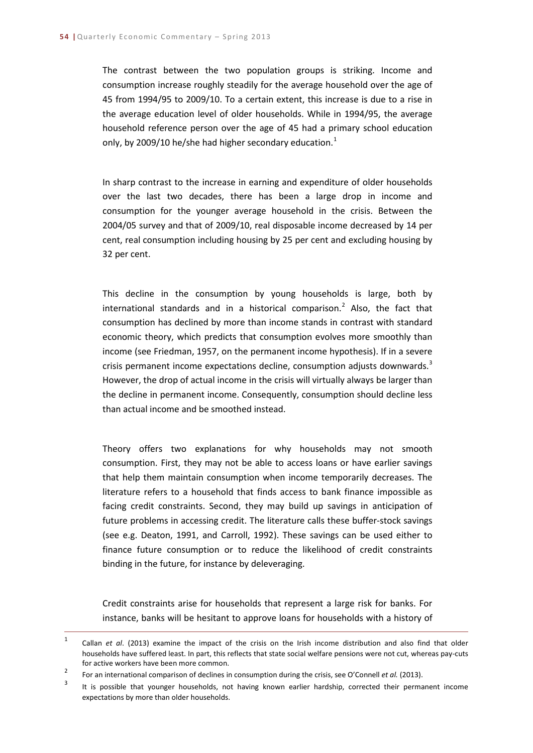The contrast between the two population groups is striking. Income and consumption increase roughly steadily for the average household over the age of 45 from 1994/95 to 2009/10. To a certain extent, this increase is due to a rise in the average education level of older households. While in 1994/95, the average household reference person over the age of 45 had a primary school education only, by 2009/[1](#page-3-0)0 he/she had higher secondary education. $<sup>1</sup>$ </sup>

In sharp contrast to the increase in earning and expenditure of older households over the last two decades, there has been a large drop in income and consumption for the younger average household in the crisis. Between the 2004/05 survey and that of 2009/10, real disposable income decreased by 14 per cent, real consumption including housing by 25 per cent and excluding housing by 32 per cent.

This decline in the consumption by young households is large, both by international standards and in a historical comparison.<sup>[2](#page-3-1)</sup> Also, the fact that consumption has declined by more than income stands in contrast with standard economic theory, which predicts that consumption evolves more smoothly than income (see Friedman, 1957, on the permanent income hypothesis). If in a severe crisis permanent income expectations decline, consumption adjusts downwards.<sup>[3](#page-3-2)</sup> However, the drop of actual income in the crisis will virtually always be larger than the decline in permanent income. Consequently, consumption should decline less than actual income and be smoothed instead.

Theory offers two explanations for why households may not smooth consumption. First, they may not be able to access loans or have earlier savings that help them maintain consumption when income temporarily decreases. The literature refers to a household that finds access to bank finance impossible as facing credit constraints. Second, they may build up savings in anticipation of future problems in accessing credit. The literature calls these buffer-stock savings (see e.g. Deaton, 1991, and Carroll, 1992). These savings can be used either to finance future consumption or to reduce the likelihood of credit constraints binding in the future, for instance by deleveraging.

Credit constraints arise for households that represent a large risk for banks. For instance, banks will be hesitant to approve loans for households with a history of

<span id="page-3-0"></span> <sup>1</sup> Callan *et al*. (2013) examine the impact of the crisis on the Irish income distribution and also find that older households have suffered least. In part, this reflects that state social welfare pensions were not cut, whereas pay-cuts for active workers have been more common.

<span id="page-3-1"></span><sup>2</sup> For an international comparison of declines in consumption during the crisis, see O'Connell *et al.* (2013).

<span id="page-3-2"></span><sup>&</sup>lt;sup>3</sup> It is possible that younger households, not having known earlier hardship, corrected their permanent income expectations by more than older households.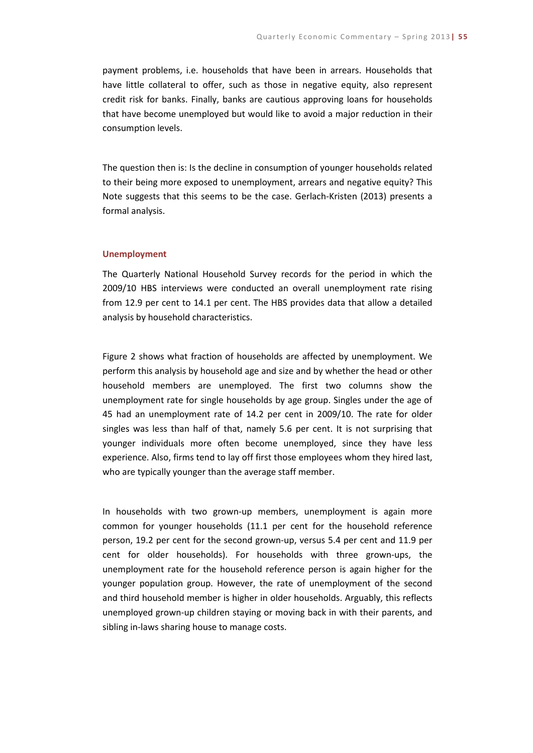payment problems, i.e. households that have been in arrears. Households that have little collateral to offer, such as those in negative equity, also represent credit risk for banks. Finally, banks are cautious approving loans for households that have become unemployed but would like to avoid a major reduction in their consumption levels.

The question then is: Is the decline in consumption of younger households related to their being more exposed to unemployment, arrears and negative equity? This Note suggests that this seems to be the case. Gerlach-Kristen (2013) presents a formal analysis.

#### **Unemployment**

The Quarterly National Household Survey records for the period in which the 2009/10 HBS interviews were conducted an overall unemployment rate rising from 12.9 per cent to 14.1 per cent. The HBS provides data that allow a detailed analysis by household characteristics.

Figure 2 shows what fraction of households are affected by unemployment. We perform this analysis by household age and size and by whether the head or other household members are unemployed. The first two columns show the unemployment rate for single households by age group. Singles under the age of 45 had an unemployment rate of 14.2 per cent in 2009/10. The rate for older singles was less than half of that, namely 5.6 per cent. It is not surprising that younger individuals more often become unemployed, since they have less experience. Also, firms tend to lay off first those employees whom they hired last, who are typically younger than the average staff member.

In households with two grown-up members, unemployment is again more common for younger households (11.1 per cent for the household reference person, 19.2 per cent for the second grown-up, versus 5.4 per cent and 11.9 per cent for older households). For households with three grown-ups, the unemployment rate for the household reference person is again higher for the younger population group. However, the rate of unemployment of the second and third household member is higher in older households. Arguably, this reflects unemployed grown-up children staying or moving back in with their parents, and sibling in-laws sharing house to manage costs.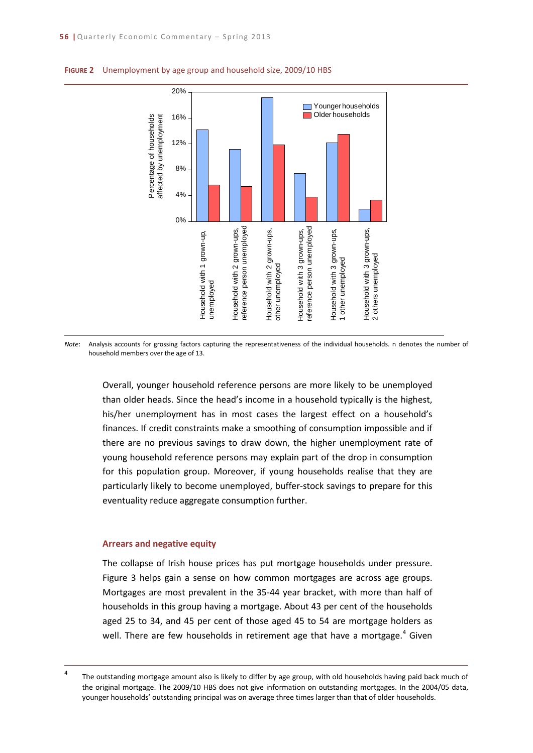

#### **FIGURE 2** Unemployment by age group and household size, 2009/10 HBS

*Note*: Analysis accounts for grossing factors capturing the representativeness of the individual households. n denotes the number of household members over the age of 13.

Overall, younger household reference persons are more likely to be unemployed than older heads. Since the head's income in a household typically is the highest, his/her unemployment has in most cases the largest effect on a household's finances. If credit constraints make a smoothing of consumption impossible and if there are no previous savings to draw down, the higher unemployment rate of young household reference persons may explain part of the drop in consumption for this population group. Moreover, if young households realise that they are particularly likely to become unemployed, buffer-stock savings to prepare for this eventuality reduce aggregate consumption further.

#### **Arrears and negative equity**

The collapse of Irish house prices has put mortgage households under pressure. Figure 3 helps gain a sense on how common mortgages are across age groups. Mortgages are most prevalent in the 35-44 year bracket, with more than half of households in this group having a mortgage. About 43 per cent of the households aged 25 to 34, and 45 per cent of those aged 45 to 54 are mortgage holders as well. There are few households in retirement age that have a mortgage.<sup>[4](#page-5-0)</sup> Given

<span id="page-5-0"></span><sup>&</sup>lt;sup>4</sup> The outstanding mortgage amount also is likely to differ by age group, with old households having paid back much of the original mortgage. The 2009/10 HBS does not give information on outstanding mortgages. In the 2004/05 data, younger households' outstanding principal was on average three times larger than that of older households.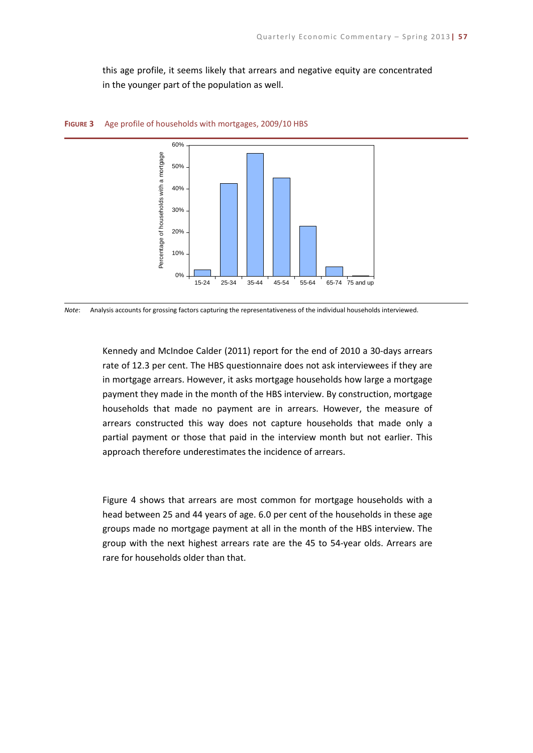this age profile, it seems likely that arrears and negative equity are concentrated in the younger part of the population as well.





*Note*: Analysis accounts for grossing factors capturing the representativeness of the individual households interviewed.

Kennedy and McIndoe Calder (2011) report for the end of 2010 a 30-days arrears rate of 12.3 per cent. The HBS questionnaire does not ask interviewees if they are in mortgage arrears. However, it asks mortgage households how large a mortgage payment they made in the month of the HBS interview. By construction, mortgage households that made no payment are in arrears. However, the measure of arrears constructed this way does not capture households that made only a partial payment or those that paid in the interview month but not earlier. This approach therefore underestimates the incidence of arrears.

Figure 4 shows that arrears are most common for mortgage households with a head between 25 and 44 years of age. 6.0 per cent of the households in these age groups made no mortgage payment at all in the month of the HBS interview. The group with the next highest arrears rate are the 45 to 54-year olds. Arrears are rare for households older than that.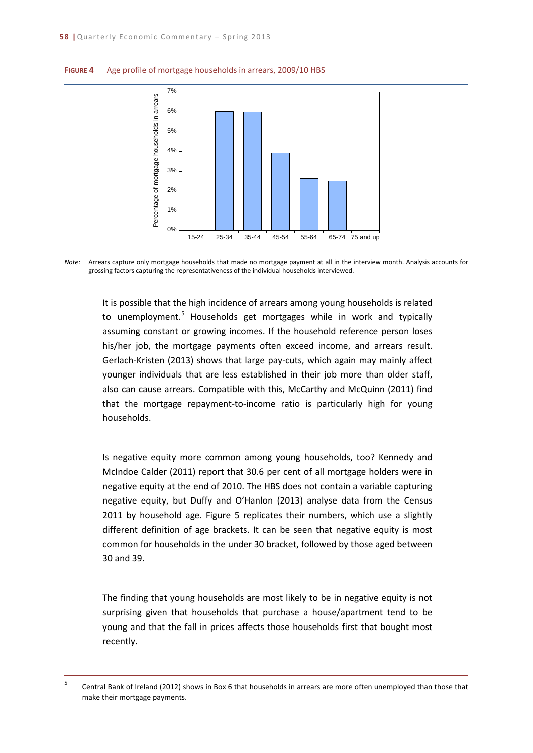

#### **FIGURE 4** Age profile of mortgage households in arrears, 2009/10 HBS



It is possible that the high incidence of arrears among young households is related to unemployment.<sup>[5](#page-7-0)</sup> Households get mortgages while in work and typically assuming constant or growing incomes. If the household reference person loses his/her job, the mortgage payments often exceed income, and arrears result. Gerlach-Kristen (2013) shows that large pay-cuts, which again may mainly affect younger individuals that are less established in their job more than older staff, also can cause arrears. Compatible with this, McCarthy and McQuinn (2011) find that the mortgage repayment-to-income ratio is particularly high for young households.

Is negative equity more common among young households, too? Kennedy and McIndoe Calder (2011) report that 30.6 per cent of all mortgage holders were in negative equity at the end of 2010. The HBS does not contain a variable capturing negative equity, but Duffy and O'Hanlon (2013) analyse data from the Census 2011 by household age. Figure 5 replicates their numbers, which use a slightly different definition of age brackets. It can be seen that negative equity is most common for households in the under 30 bracket, followed by those aged between 30 and 39.

The finding that young households are most likely to be in negative equity is not surprising given that households that purchase a house/apartment tend to be young and that the fall in prices affects those households first that bought most recently.

<span id="page-7-0"></span> <sup>5</sup> Central Bank of Ireland (2012) shows in Box 6 that households in arrears are more often unemployed than those that make their mortgage payments.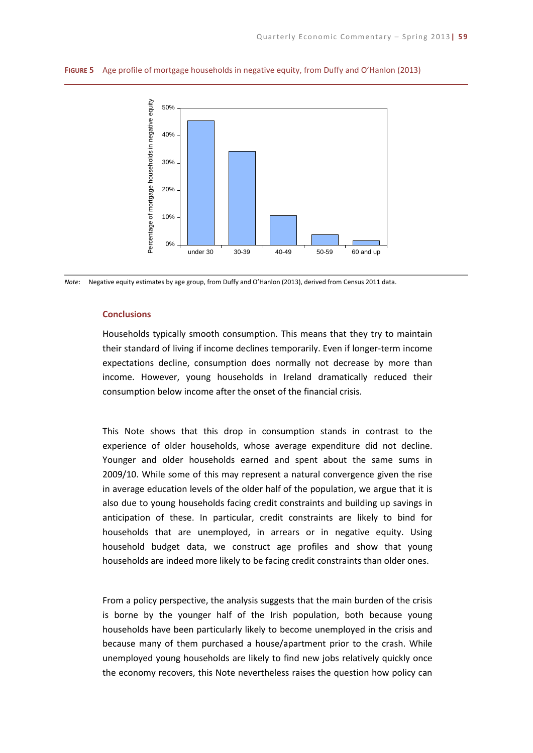

**FIGURE 5** Age profile of mortgage households in negative equity, from Duffy and O'Hanlon (2013)



#### **Conclusions**

Households typically smooth consumption. This means that they try to maintain their standard of living if income declines temporarily. Even if longer-term income expectations decline, consumption does normally not decrease by more than income. However, young households in Ireland dramatically reduced their consumption below income after the onset of the financial crisis.

This Note shows that this drop in consumption stands in contrast to the experience of older households, whose average expenditure did not decline. Younger and older households earned and spent about the same sums in 2009/10. While some of this may represent a natural convergence given the rise in average education levels of the older half of the population, we argue that it is also due to young households facing credit constraints and building up savings in anticipation of these. In particular, credit constraints are likely to bind for households that are unemployed, in arrears or in negative equity. Using household budget data, we construct age profiles and show that young households are indeed more likely to be facing credit constraints than older ones.

From a policy perspective, the analysis suggests that the main burden of the crisis is borne by the younger half of the Irish population, both because young households have been particularly likely to become unemployed in the crisis and because many of them purchased a house/apartment prior to the crash. While unemployed young households are likely to find new jobs relatively quickly once the economy recovers, this Note nevertheless raises the question how policy can